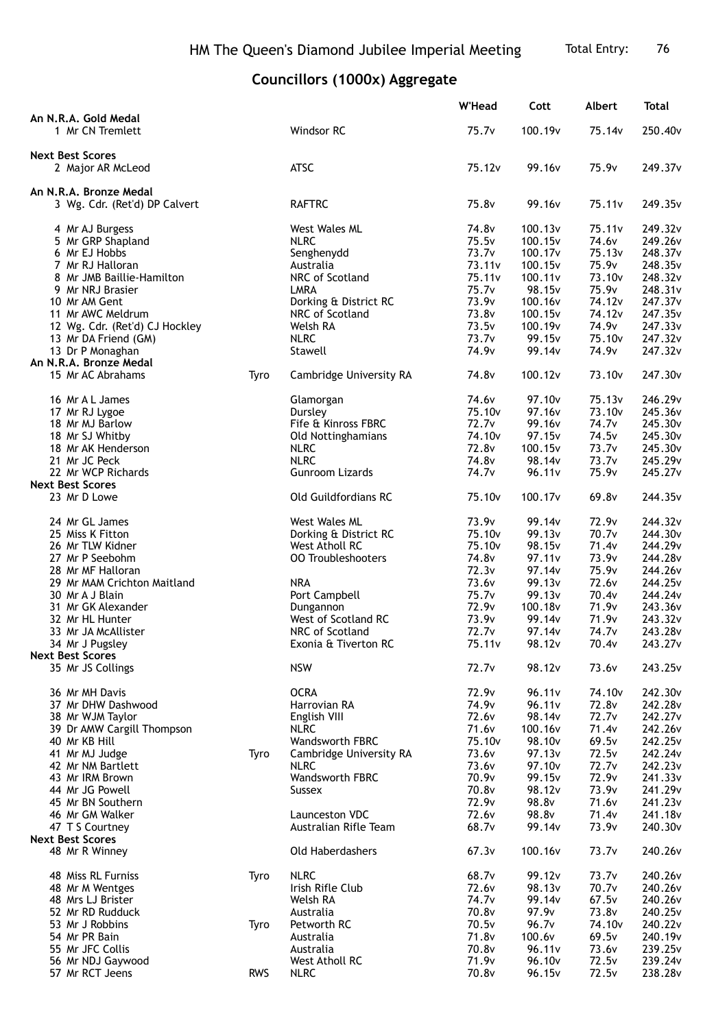## **Councillors (1000x) Aggregate**

|                                                         |            |                                          | <b>W'Head</b>      | Cott                | <b>Albert</b>      | <b>Total</b>        |
|---------------------------------------------------------|------------|------------------------------------------|--------------------|---------------------|--------------------|---------------------|
| An N.R.A. Gold Medal<br>1 Mr CN Tremlett                |            | Windsor RC                               | 75.7v              | 100.19 <sub>v</sub> | 75.14v             | 250.40 <sub>v</sub> |
| <b>Next Best Scores</b>                                 |            | <b>ATSC</b>                              | 75.12v             | 99.16v              | 75.9 <sub>v</sub>  | 249.37v             |
| 2 Major AR McLeod                                       |            |                                          |                    |                     |                    |                     |
| An N.R.A. Bronze Medal<br>3 Wg. Cdr. (Ret'd) DP Calvert |            | <b>RAFTRC</b>                            | 75.8v              | 99.16v              | 75.11v             | 249.35v             |
| 4 Mr AJ Burgess                                         |            | <b>West Wales ML</b>                     | 74.8v              | 100.13v             | 75.11v             | 249.32v             |
| 5 Mr GRP Shapland                                       |            | <b>NLRC</b>                              | 75.5v              | 100.15v             | 74.6v              | 249.26v             |
| 6 Mr EJ Hobbs                                           |            | Senghenydd                               | 73.7v              | 100.17 <sub>v</sub> | 75.13v             | 248.37v             |
| 7 Mr RJ Halloran                                        |            | Australia                                | 73.11 <sub>v</sub> | 100.15v             | 75.9v              | 248.35v             |
| 8 Mr JMB Baillie-Hamilton                               |            | NRC of Scotland                          | 75.11v             | 100.11v             | 73.10v             | 248.32v             |
| 9 Mr NRJ Brasier                                        |            | LMRA                                     | 75.7v<br>73.9v     | 98.15v<br>100.16v   | 75.9v<br>74.12v    | 248.31v<br>247.37v  |
| 10 Mr AM Gent<br>11 Mr AWC Meldrum                      |            | Dorking & District RC<br>NRC of Scotland | 73.8v              | 100.15v             | 74.12v             | 247.35v             |
| 12 Wg. Cdr. (Ret'd) CJ Hockley                          |            | Welsh RA                                 | 73.5v              | 100.19 <sub>v</sub> | 74.9v              | 247.33v             |
| 13 Mr DA Friend (GM)                                    |            | <b>NLRC</b>                              | 73.7v              | 99.15v              | 75.10 <sub>v</sub> | 247.32v             |
| 13 Dr P Monaghan                                        |            | Stawell                                  | 74.9v              | 99.14v              | 74.9v              | 247.32v             |
| An N.R.A. Bronze Medal                                  |            |                                          |                    |                     |                    |                     |
| 15 Mr AC Abrahams                                       | Tyro       | Cambridge University RA                  | 74.8v              | 100.12v             | 73.10v             | 247.30v             |
| 16 Mr A L James                                         |            | Glamorgan                                | 74.6v              | 97.10 <sub>v</sub>  | 75.13v             | 246.29v             |
| 17 Mr RJ Lygoe                                          |            | Dursley                                  | 75.10v             | 97.16v              | 73.10v             | 245.36v             |
| 18 Mr MJ Barlow                                         |            | Fife & Kinross FBRC                      | 72.7 <sub>v</sub>  | 99.16v              | 74.7v              | 245.30v             |
| 18 Mr SJ Whitby                                         |            | Old Nottinghamians                       | 74.10v             | 97.15v              | 74.5v              | 245.30v             |
| 18 Mr AK Henderson                                      |            | <b>NLRC</b>                              | 72.8v              | 100.15v             | 73.7v              | 245.30v             |
| 21 Mr JC Peck                                           |            | <b>NLRC</b>                              | 74.8v              | 98.14v              | 73.7v              | 245.29v             |
| 22 Mr WCP Richards                                      |            | Gunroom Lizards                          | 74.7 <sub>v</sub>  | 96.11v              | 75.9v              | 245.27v             |
| <b>Next Best Scores</b><br>23 Mr D Lowe                 |            | Old Guildfordians RC                     | 75.10v             | 100.17 <sub>v</sub> | 69.8v              | 244.35v             |
| 24 Mr GL James                                          |            | West Wales ML                            | 73.9v              | 99.14v              | 72.9v              | 244.32v             |
| 25 Miss K Fitton                                        |            | Dorking & District RC                    | 75.10v             | 99.13v              | 70.7v              | 244.30v             |
| 26 Mr TLW Kidner                                        |            | West Atholl RC                           | 75.10v             | 98.15 <sub>v</sub>  | 71.4v              | 244.29v             |
| 27 Mr P Seebohm                                         |            | <b>00 Troubleshooters</b>                | 74.8v              | 97.11v              | 73.9v              | 244.28v             |
| 28 Mr MF Halloran                                       |            |                                          | 72.3v              | 97.14v              | 75.9v              | 244.26v             |
| 29 Mr MAM Crichton Maitland                             |            | <b>NRA</b>                               | 73.6v              | 99.13v              | 72.6v              | 244.25v             |
| 30 Mr A J Blain                                         |            | Port Campbell                            | 75.7v              | 99.13v              | 70.4v              | 244.24v             |
| 31 Mr GK Alexander                                      |            | Dungannon                                | 72.9v              | 100.18v             | 71.9v              | 243.36v             |
| 32 Mr HL Hunter                                         |            | West of Scotland RC                      | 73.9v              | 99.14v              | 71.9v              | 243.32v             |
| 33 Mr JA McAllister                                     |            | NRC of Scotland                          | 72.7v              | 97.14 <sub>v</sub>  | 74.7v              | 243.28v             |
| 34 Mr J Pugsley<br><b>Next Best Scores</b>              |            | Exonia & Tiverton RC                     | 75.11v             | 98.12v              | 70.4v              | 243.27v             |
| 35 Mr JS Collings                                       |            | <b>NSW</b>                               | 72.7 <sub>v</sub>  | 98.12v              | 73.6v              | 243.25v             |
| 36 Mr MH Davis                                          |            | <b>OCRA</b>                              | 72.9v              | 96.11v              | 74.10v             | 242.30v             |
| 37 Mr DHW Dashwood                                      |            | Harrovian RA                             | 74.9v              | 96.11v              | 72.8v              | 242.28v             |
| 38 Mr WJM Taylor                                        |            | English VIII                             | 72.6v              | 98.14v              | 72.7 <sub>v</sub>  | 242.27v             |
| 39 Dr AMW Cargill Thompson                              |            | <b>NLRC</b>                              | 71.6v              | 100.16v             | 71.4v              | 242.26v             |
| 40 Mr KB Hill                                           |            | Wandsworth FBRC                          | 75.10v             | 98.10 <sub>v</sub>  | 69.5v              | 242.25v             |
| 41 Mr MJ Judge                                          | Tyro       | Cambridge University RA                  | 73.6v              | 97.13v              | 72.5v              | 242.24v             |
| 42 Mr NM Bartlett                                       |            | <b>NLRC</b>                              | 73.6v              | 97.10v              | 72.7v              | 242.23v             |
| 43 Mr IRM Brown                                         |            | Wandsworth FBRC                          | 70.9v              | 99.15v              | 72.9v              | 241.33v             |
| 44 Mr JG Powell                                         |            | <b>Sussex</b>                            | 70.8v              | 98.12v              | 73.9v              | 241.29v             |
| 45 Mr BN Southern                                       |            |                                          | 72.9v              | 98.8v               | 71.6v              | 241.23v             |
| 46 Mr GM Walker                                         |            | Launceston VDC                           | 72.6v<br>68.7v     | 98.8v               | 71.4v              | 241.18v<br>240.30v  |
| 47 T S Courtney<br><b>Next Best Scores</b>              |            | Australian Rifle Team                    |                    | 99.14v              | 73.9v              |                     |
| 48 Mr R Winney                                          |            | Old Haberdashers                         | 67.3v              | 100.16v             | 73.7v              | 240.26v             |
| 48 Miss RL Furniss                                      | Tyro       | <b>NLRC</b>                              | 68.7v              | 99.12v              | 73.7v              | 240.26v             |
| 48 Mr M Wentges                                         |            | Irish Rifle Club                         | 72.6v              | 98.13v              | 70.7v              | 240.26v             |
| 48 Mrs LJ Brister                                       |            | Welsh RA                                 | 74.7v              | 99.14v              | 67.5v              | 240.26v             |
| 52 Mr RD Rudduck                                        |            | Australia                                | 70.8v              | 97.9v               | 73.8v              | 240.25v             |
| 53 Mr J Robbins                                         | Tyro       | Petworth RC                              | 70.5v              | 96.7v               | 74.10v             | 240.22v             |
| 54 Mr PR Bain                                           |            | Australia                                | 71.8v              | 100.6v              | 69.5v              | 240.19v             |
| 55 Mr JFC Collis                                        |            | Australia                                | 70.8v              | 96.11v              | 73.6v              | 239.25v             |
| 56 Mr NDJ Gaywood                                       |            | West Atholl RC                           | 71.9v              | 96.10v              | 72.5v              | 239.24v             |
| 57 Mr RCT Jeens                                         | <b>RWS</b> | <b>NLRC</b>                              | 70.8v              | 96.15v              | 72.5v              | 238.28v             |